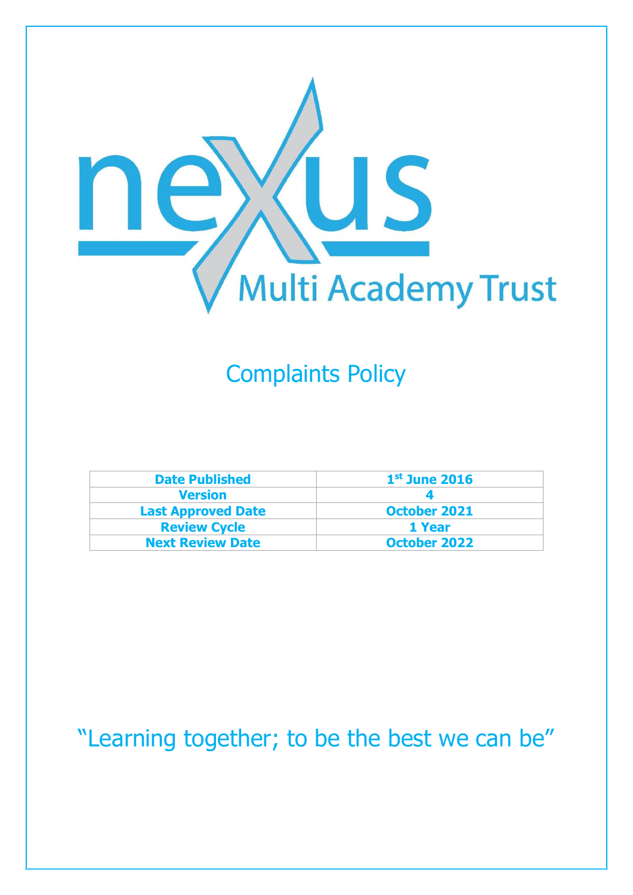

## Complaints Policy

| <b>Date Published</b>     | $1st$ June 2016     |
|---------------------------|---------------------|
| <b>Version</b>            |                     |
| <b>Last Approved Date</b> | <b>October 2021</b> |
| <b>Review Cycle</b>       | 1 Year              |
| <b>Next Review Date</b>   | <b>October 2022</b> |

## "Learning together; to be the best we can be"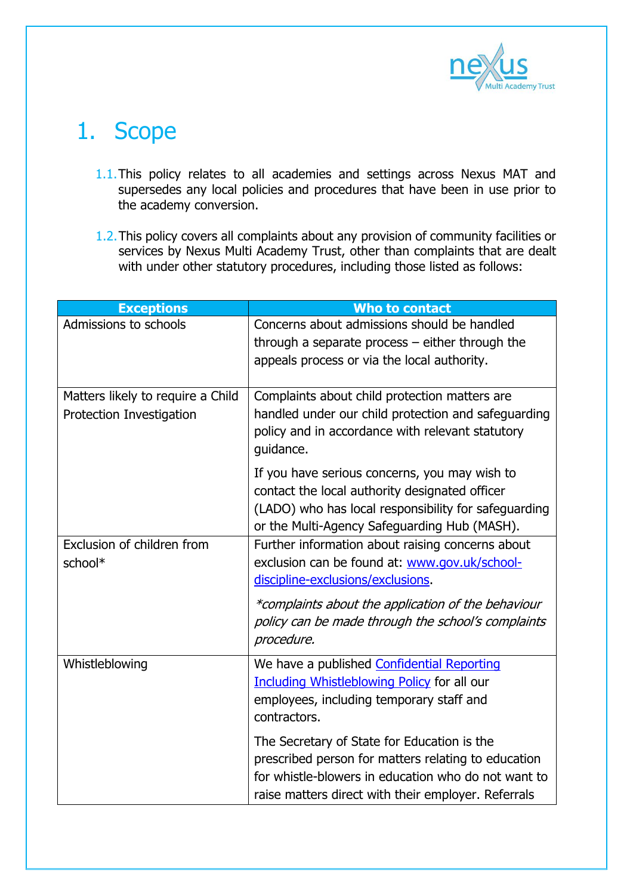

## 1. Scope

- 1.1.This policy relates to all academies and settings across Nexus MAT and supersedes any local policies and procedures that have been in use prior to the academy conversion.
- 1.2.This policy covers all complaints about any provision of community facilities or services by Nexus Multi Academy Trust, other than complaints that are dealt with under other statutory procedures, including those listed as follows:

| <b>Exceptions</b>                                             | <b>Who to contact</b>                                                                                                                                                                                            |
|---------------------------------------------------------------|------------------------------------------------------------------------------------------------------------------------------------------------------------------------------------------------------------------|
| Admissions to schools                                         | Concerns about admissions should be handled<br>through a separate process $-$ either through the<br>appeals process or via the local authority.                                                                  |
| Matters likely to require a Child<br>Protection Investigation | Complaints about child protection matters are<br>handled under our child protection and safeguarding<br>policy and in accordance with relevant statutory<br>guidance.                                            |
|                                                               | If you have serious concerns, you may wish to<br>contact the local authority designated officer<br>(LADO) who has local responsibility for safeguarding<br>or the Multi-Agency Safeguarding Hub (MASH).          |
| Exclusion of children from<br>school*                         | Further information about raising concerns about<br>exclusion can be found at: www.gov.uk/school-<br>discipline-exclusions/exclusions.                                                                           |
|                                                               | *complaints about the application of the behaviour<br>policy can be made through the school's complaints<br>procedure.                                                                                           |
| Whistleblowing                                                | We have a published Confidential Reporting<br>Including Whistleblowing Policy for all our<br>employees, including temporary staff and<br>contractors.                                                            |
|                                                               | The Secretary of State for Education is the<br>prescribed person for matters relating to education<br>for whistle-blowers in education who do not want to<br>raise matters direct with their employer. Referrals |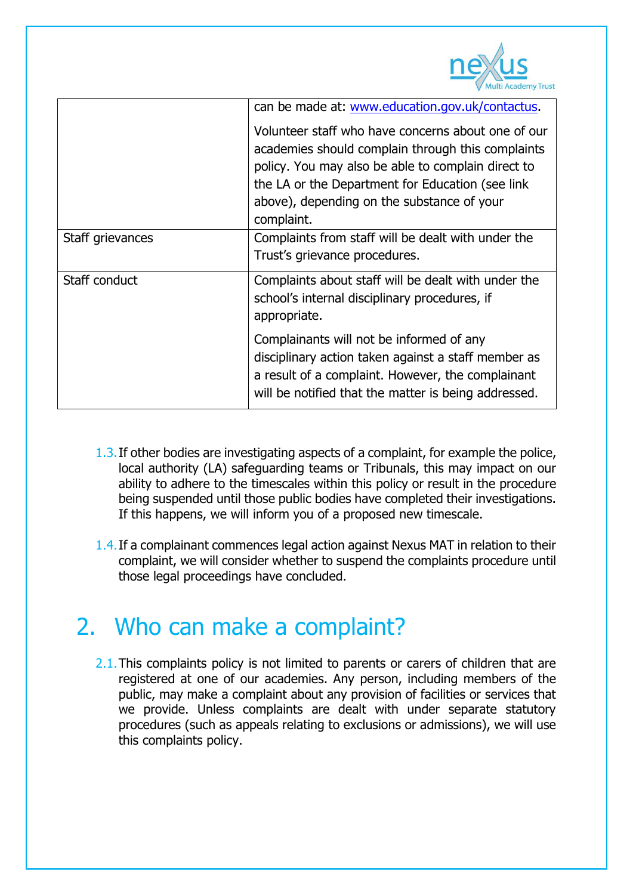

|                  | can be made at: www.education.gov.uk/contactus.                                                                                                                                                                                                                                |
|------------------|--------------------------------------------------------------------------------------------------------------------------------------------------------------------------------------------------------------------------------------------------------------------------------|
|                  | Volunteer staff who have concerns about one of our<br>academies should complain through this complaints<br>policy. You may also be able to complain direct to<br>the LA or the Department for Education (see link)<br>above), depending on the substance of your<br>complaint. |
| Staff grievances | Complaints from staff will be dealt with under the<br>Trust's grievance procedures.                                                                                                                                                                                            |
| Staff conduct    | Complaints about staff will be dealt with under the<br>school's internal disciplinary procedures, if<br>appropriate.                                                                                                                                                           |
|                  | Complainants will not be informed of any<br>disciplinary action taken against a staff member as<br>a result of a complaint. However, the complainant<br>will be notified that the matter is being addressed.                                                                   |

- 1.3.If other bodies are investigating aspects of a complaint, for example the police, local authority (LA) safeguarding teams or Tribunals, this may impact on our ability to adhere to the timescales within this policy or result in the procedure being suspended until those public bodies have completed their investigations. If this happens, we will inform you of a proposed new timescale.
- 1.4.If a complainant commences legal action against Nexus MAT in relation to their complaint, we will consider whether to suspend the complaints procedure until those legal proceedings have concluded.

#### 2. Who can make a complaint?

2.1. This complaints policy is not limited to parents or carers of children that are registered at one of our academies. Any person, including members of the public, may make a complaint about any provision of facilities or services that we provide. Unless complaints are dealt with under separate statutory procedures (such as appeals relating to exclusions or admissions), we will use this complaints policy.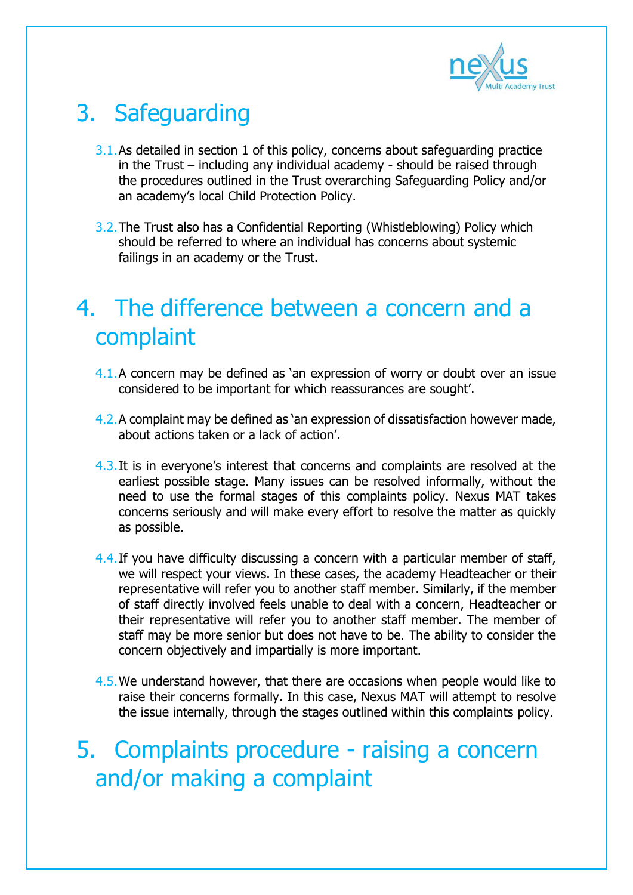

# 3. Safeguarding

- 3.1.As detailed in section 1 of this policy, concerns about safeguarding practice in the Trust – including any individual academy - should be raised through the procedures outlined in the Trust overarching Safeguarding Policy and/or an academy's local Child Protection Policy.
- 3.2.The Trust also has a Confidential Reporting (Whistleblowing) Policy which should be referred to where an individual has concerns about systemic failings in an academy or the Trust.

#### 4. The difference between a concern and a complaint

- 4.1.A concern may be defined as 'an expression of worry or doubt over an issue considered to be important for which reassurances are sought'.
- 4.2.A complaint may be defined as 'an expression of dissatisfaction however made, about actions taken or a lack of action'.
- 4.3.It is in everyone's interest that concerns and complaints are resolved at the earliest possible stage. Many issues can be resolved informally, without the need to use the formal stages of this complaints policy. Nexus MAT takes concerns seriously and will make every effort to resolve the matter as quickly as possible.
- 4.4. If you have difficulty discussing a concern with a particular member of staff, we will respect your views. In these cases, the academy Headteacher or their representative will refer you to another staff member. Similarly, if the member of staff directly involved feels unable to deal with a concern, Headteacher or their representative will refer you to another staff member. The member of staff may be more senior but does not have to be. The ability to consider the concern objectively and impartially is more important.
- 4.5.We understand however, that there are occasions when people would like to raise their concerns formally. In this case, Nexus MAT will attempt to resolve the issue internally, through the stages outlined within this complaints policy.

5. Complaints procedure - raising a concern and/or making a complaint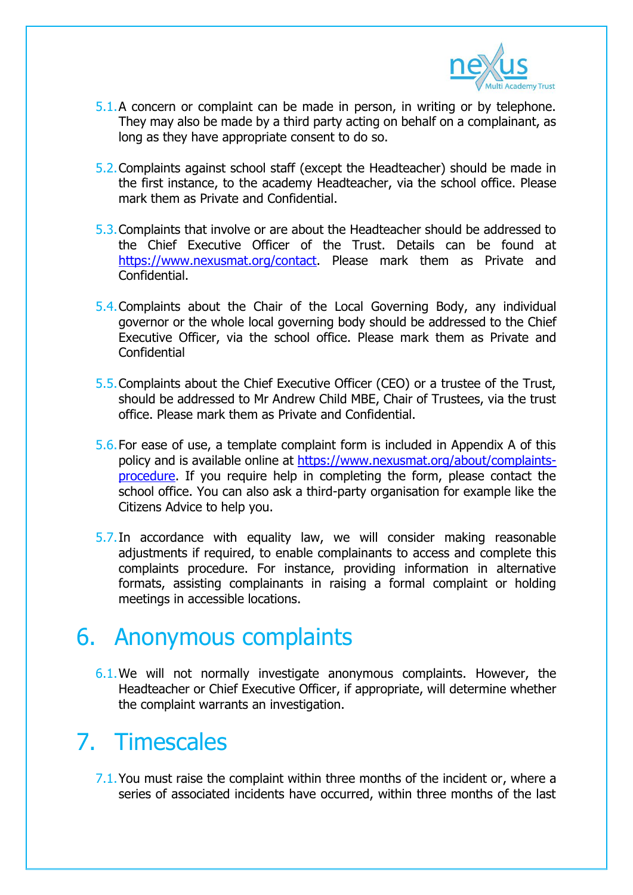

- 5.1.A concern or complaint can be made in person, in writing or by telephone. They may also be made by a third party acting on behalf on a complainant, as long as they have appropriate consent to do so.
- 5.2.Complaints against school staff (except the Headteacher) should be made in the first instance, to the academy Headteacher, via the school office. Please mark them as Private and Confidential.
- 5.3.Complaints that involve or are about the Headteacher should be addressed to the Chief Executive Officer of the Trust. Details can be found at [https://www.nexusmat.org/contact.](https://www.nexusmat.org/contact) Please mark them as Private and Confidential.
- 5.4.Complaints about the Chair of the Local Governing Body, any individual governor or the whole local governing body should be addressed to the Chief Executive Officer, via the school office. Please mark them as Private and **Confidential**
- 5.5.Complaints about the Chief Executive Officer (CEO) or a trustee of the Trust, should be addressed to Mr Andrew Child MBE, Chair of Trustees, via the trust office. Please mark them as Private and Confidential.
- 5.6.For ease of use, a template complaint form is included in Appendix A of this policy and is available online at [https://www.nexusmat.org/about/complaints](https://www.nexusmat.org/about/complaints-procedure)[procedure.](https://www.nexusmat.org/about/complaints-procedure) If you require help in completing the form, please contact the school office. You can also ask a third-party organisation for example like the Citizens Advice to help you.
- 5.7.In accordance with equality law, we will consider making reasonable adjustments if required, to enable complainants to access and complete this complaints procedure. For instance, providing information in alternative formats, assisting complainants in raising a formal complaint or holding meetings in accessible locations.

#### 6. Anonymous complaints

6.1.We will not normally investigate anonymous complaints. However, the Headteacher or Chief Executive Officer, if appropriate, will determine whether the complaint warrants an investigation.

#### 7. Timescales

7.1. You must raise the complaint within three months of the incident or, where a series of associated incidents have occurred, within three months of the last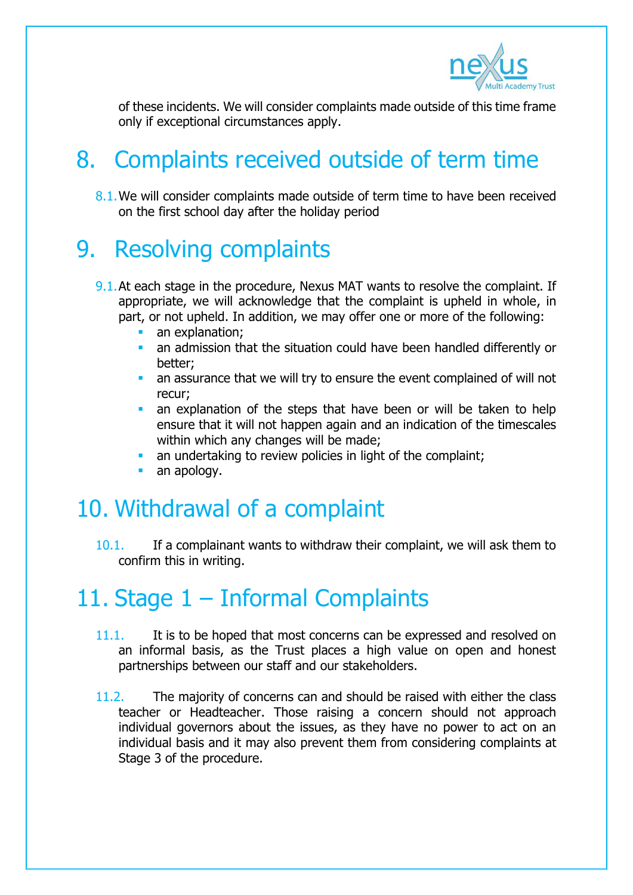

of these incidents. We will consider complaints made outside of this time frame only if exceptional circumstances apply.

# 8. Complaints received outside of term time

8.1. We will consider complaints made outside of term time to have been received on the first school day after the holiday period

## 9. Resolving complaints

- 9.1. At each stage in the procedure, Nexus MAT wants to resolve the complaint. If appropriate, we will acknowledge that the complaint is upheld in whole, in part, or not upheld. In addition, we may offer one or more of the following:
	- an explanation;
	- an admission that the situation could have been handled differently or better;
	- an assurance that we will try to ensure the event complained of will not recur;
	- an explanation of the steps that have been or will be taken to help ensure that it will not happen again and an indication of the timescales within which any changes will be made;
	- an undertaking to review policies in light of the complaint;
	- an apology.

#### 10. Withdrawal of a complaint

10.1. If a complainant wants to withdraw their complaint, we will ask them to confirm this in writing.

## 11. Stage 1 – Informal Complaints

- 11.1. It is to be hoped that most concerns can be expressed and resolved on an informal basis, as the Trust places a high value on open and honest partnerships between our staff and our stakeholders.
- 11.2. The majority of concerns can and should be raised with either the class teacher or Headteacher. Those raising a concern should not approach individual governors about the issues, as they have no power to act on an individual basis and it may also prevent them from considering complaints at Stage 3 of the procedure.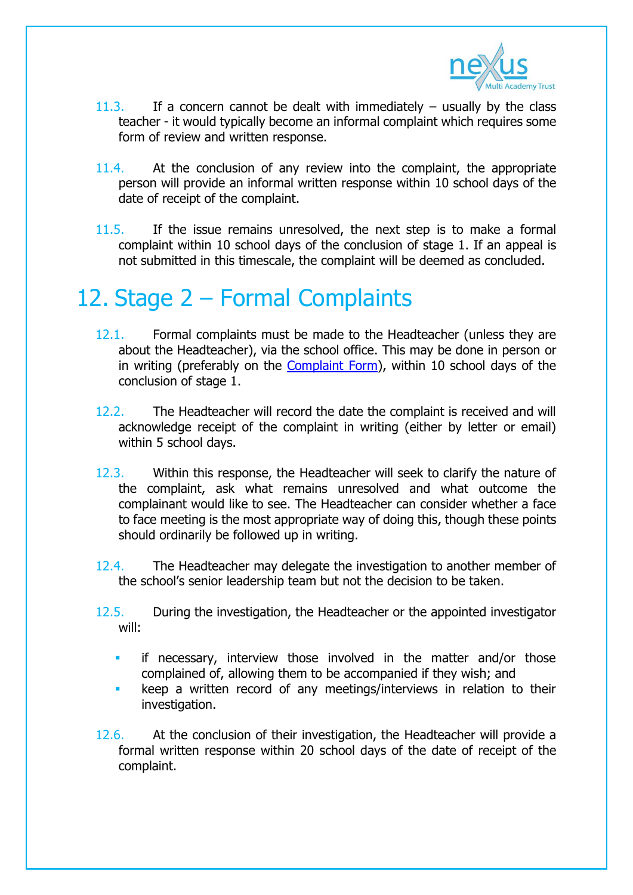

- 11.3. If a concern cannot be dealt with immediately usually by the class teacher - it would typically become an informal complaint which requires some form of review and written response.
- 11.4. At the conclusion of any review into the complaint, the appropriate person will provide an informal written response within 10 school days of the date of receipt of the complaint.
- 11.5. If the issue remains unresolved, the next step is to make a formal complaint within 10 school days of the conclusion of stage 1. If an appeal is not submitted in this timescale, the complaint will be deemed as concluded.

## 12. Stage 2 – Formal Complaints

- 12.1. Formal complaints must be made to the Headteacher (unless they are about the Headteacher), via the school office. This may be done in person or in writing (preferably on the [Complaint Form\)](https://www.nexusmat.org/about/complaints-procedure), within 10 school days of the conclusion of stage 1.
- 12.2. The Headteacher will record the date the complaint is received and will acknowledge receipt of the complaint in writing (either by letter or email) within 5 school days.
- 12.3. Within this response, the Headteacher will seek to clarify the nature of the complaint, ask what remains unresolved and what outcome the complainant would like to see. The Headteacher can consider whether a face to face meeting is the most appropriate way of doing this, though these points should ordinarily be followed up in writing.
- 12.4. The Headteacher may delegate the investigation to another member of the school's senior leadership team but not the decision to be taken.
- 12.5. During the investigation, the Headteacher or the appointed investigator will:
	- if necessary, interview those involved in the matter and/or those complained of, allowing them to be accompanied if they wish; and
	- keep a written record of any meetings/interviews in relation to their investigation.
- 12.6. At the conclusion of their investigation, the Headteacher will provide a formal written response within 20 school days of the date of receipt of the complaint.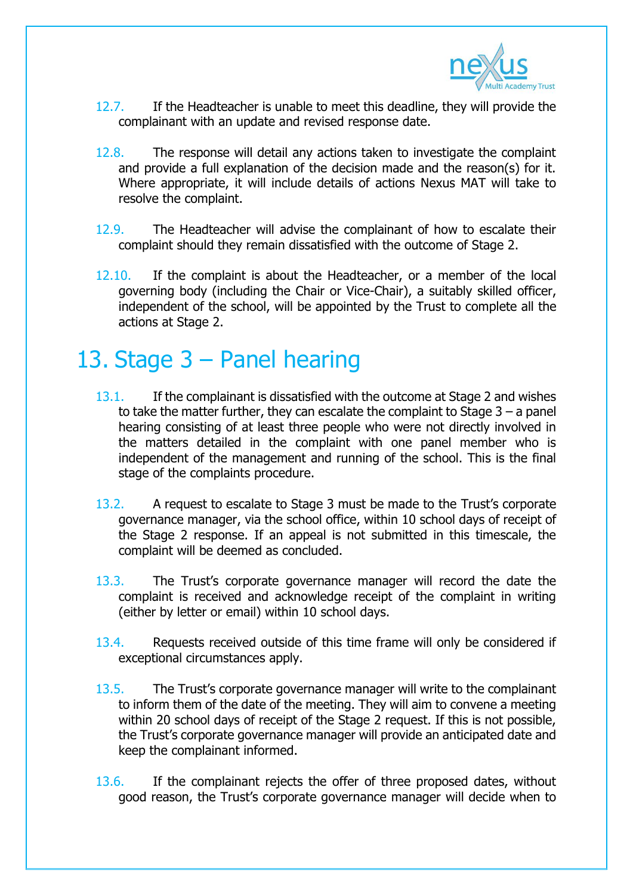

- 12.7. If the Headteacher is unable to meet this deadline, they will provide the complainant with an update and revised response date.
- 12.8. The response will detail any actions taken to investigate the complaint and provide a full explanation of the decision made and the reason(s) for it. Where appropriate, it will include details of actions Nexus MAT will take to resolve the complaint.
- 12.9. The Headteacher will advise the complainant of how to escalate their complaint should they remain dissatisfied with the outcome of Stage 2.
- 12.10. If the complaint is about the Headteacher, or a member of the local governing body (including the Chair or Vice-Chair), a suitably skilled officer, independent of the school, will be appointed by the Trust to complete all the actions at Stage 2.

#### 13. Stage 3 – Panel hearing

- 13.1. If the complainant is dissatisfied with the outcome at Stage 2 and wishes to take the matter further, they can escalate the complaint to Stage  $3 - a$  panel hearing consisting of at least three people who were not directly involved in the matters detailed in the complaint with one panel member who is independent of the management and running of the school. This is the final stage of the complaints procedure.
- 13.2. A request to escalate to Stage 3 must be made to the Trust's corporate governance manager, via the school office, within 10 school days of receipt of the Stage 2 response. If an appeal is not submitted in this timescale, the complaint will be deemed as concluded.
- 13.3. The Trust's corporate governance manager will record the date the complaint is received and acknowledge receipt of the complaint in writing (either by letter or email) within 10 school days.
- 13.4. Requests received outside of this time frame will only be considered if exceptional circumstances apply.
- 13.5. The Trust's corporate governance manager will write to the complainant to inform them of the date of the meeting. They will aim to convene a meeting within 20 school days of receipt of the Stage 2 request. If this is not possible, the Trust's corporate governance manager will provide an anticipated date and keep the complainant informed.
- 13.6. If the complainant rejects the offer of three proposed dates, without good reason, the Trust's corporate governance manager will decide when to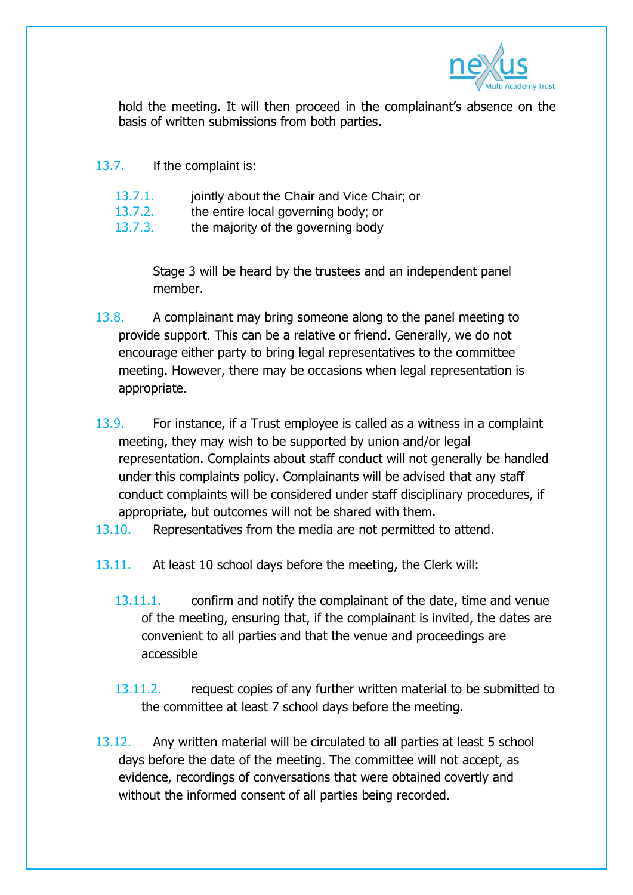

hold the meeting. It will then proceed in the complainant's absence on the basis of written submissions from both parties.

- 13.7. If the complaint is:
	- 13.7.1. jointly about the Chair and Vice Chair; or
	- 13.7.2. the entire local governing body; or
	- 13.7.3. the majority of the governing body

Stage 3 will be heard by the trustees and an independent panel member.

- 13.8. A complainant may bring someone along to the panel meeting to provide support. This can be a relative or friend. Generally, we do not encourage either party to bring legal representatives to the committee meeting. However, there may be occasions when legal representation is appropriate.
- 13.9. For instance, if a Trust employee is called as a witness in a complaint meeting, they may wish to be supported by union and/or legal representation. Complaints about staff conduct will not generally be handled under this complaints policy. Complainants will be advised that any staff conduct complaints will be considered under staff disciplinary procedures, if appropriate, but outcomes will not be shared with them.
- 13.10. Representatives from the media are not permitted to attend.
- 13.11. At least 10 school days before the meeting, the Clerk will:
	- 13.11.1. confirm and notify the complainant of the date, time and venue of the meeting, ensuring that, if the complainant is invited, the dates are convenient to all parties and that the venue and proceedings are accessible
	- 13.11.2. request copies of any further written material to be submitted to the committee at least 7 school days before the meeting.
- 13.12. Any written material will be circulated to all parties at least 5 school days before the date of the meeting. The committee will not accept, as evidence, recordings of conversations that were obtained covertly and without the informed consent of all parties being recorded.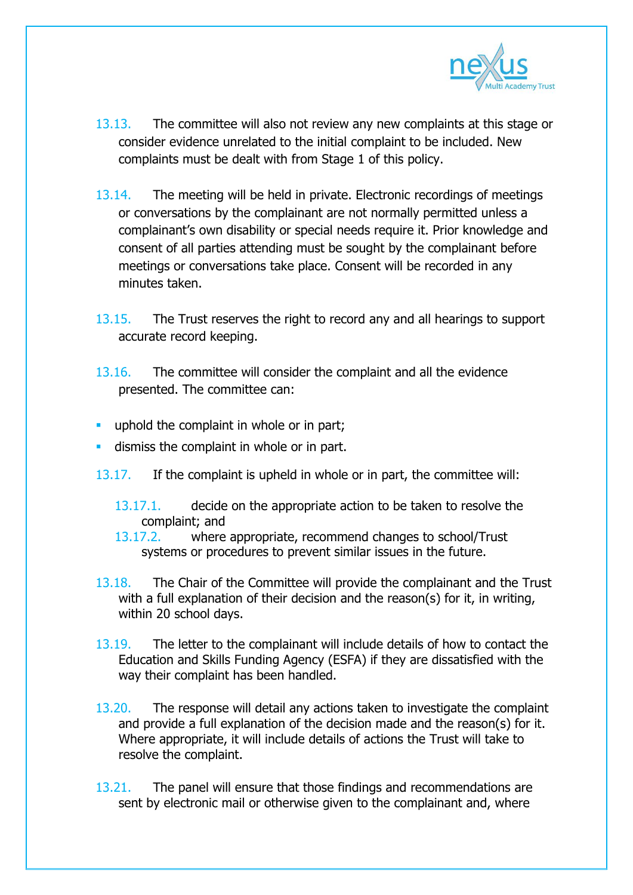

- 13.13. The committee will also not review any new complaints at this stage or consider evidence unrelated to the initial complaint to be included. New complaints must be dealt with from Stage 1 of this policy.
- 13.14. The meeting will be held in private. Electronic recordings of meetings or conversations by the complainant are not normally permitted unless a complainant's own disability or special needs require it. Prior knowledge and consent of all parties attending must be sought by the complainant before meetings or conversations take place. Consent will be recorded in any minutes taken.
- 13.15. The Trust reserves the right to record any and all hearings to support accurate record keeping.
- 13.16. The committee will consider the complaint and all the evidence presented. The committee can:
- uphold the complaint in whole or in part;
- **dismiss the complaint in whole or in part.**
- 13.17. If the complaint is upheld in whole or in part, the committee will:
	- 13.17.1. decide on the appropriate action to be taken to resolve the complaint; and
	- 13.17.2. where appropriate, recommend changes to school/Trust systems or procedures to prevent similar issues in the future.
- 13.18. The Chair of the Committee will provide the complainant and the Trust with a full explanation of their decision and the reason(s) for it, in writing, within 20 school days.
- 13.19. The letter to the complainant will include details of how to contact the Education and Skills Funding Agency (ESFA) if they are dissatisfied with the way their complaint has been handled.
- 13.20. The response will detail any actions taken to investigate the complaint and provide a full explanation of the decision made and the reason(s) for it. Where appropriate, it will include details of actions the Trust will take to resolve the complaint.
- 13.21. The panel will ensure that those findings and recommendations are sent by electronic mail or otherwise given to the complainant and, where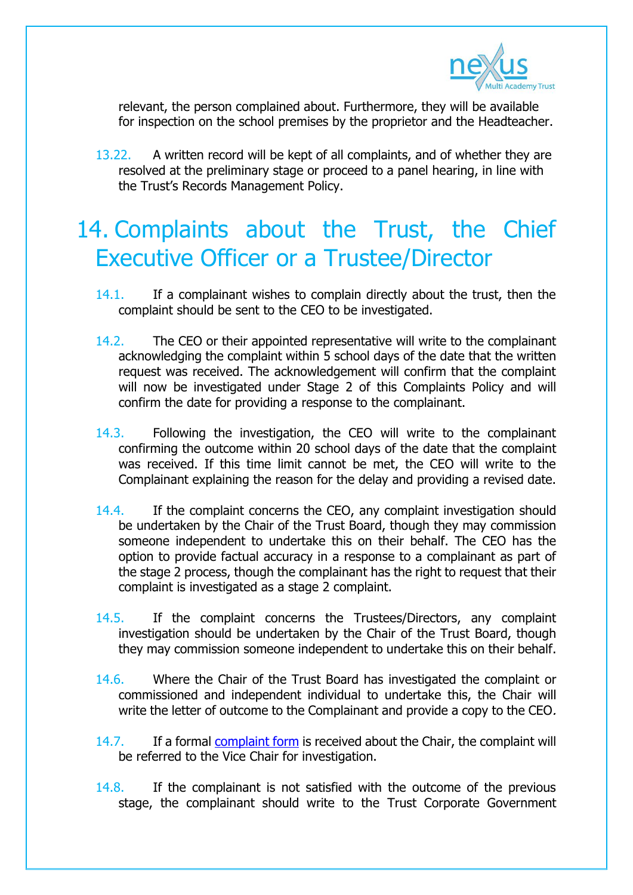

relevant, the person complained about. Furthermore, they will be available for inspection on the school premises by the proprietor and the Headteacher.

13.22. A written record will be kept of all complaints, and of whether they are resolved at the preliminary stage or proceed to a panel hearing, in line with the Trust's Records Management Policy.

## 14. Complaints about the Trust, the Chief Executive Officer or a Trustee/Director

- 14.1. If a complainant wishes to complain directly about the trust, then the complaint should be sent to the CEO to be investigated.
- 14.2. The CEO or their appointed representative will write to the complainant acknowledging the complaint within 5 school days of the date that the written request was received. The acknowledgement will confirm that the complaint will now be investigated under Stage 2 of this Complaints Policy and will confirm the date for providing a response to the complainant.
- 14.3. Following the investigation, the CEO will write to the complainant confirming the outcome within 20 school days of the date that the complaint was received. If this time limit cannot be met, the CEO will write to the Complainant explaining the reason for the delay and providing a revised date.
- 14.4. If the complaint concerns the CEO, any complaint investigation should be undertaken by the Chair of the Trust Board, though they may commission someone independent to undertake this on their behalf. The CEO has the option to provide factual accuracy in a response to a complainant as part of the stage 2 process, though the complainant has the right to request that their complaint is investigated as a stage 2 complaint.
- 14.5. If the complaint concerns the Trustees/Directors, any complaint investigation should be undertaken by the Chair of the Trust Board, though they may commission someone independent to undertake this on their behalf.
- 14.6. Where the Chair of the Trust Board has investigated the complaint or commissioned and independent individual to undertake this, the Chair will write the letter of outcome to the Complainant and provide a copy to the CEO.
- 14.7. If a formal [complaint form](https://www.nexusmat.org/about/complaints-procedure) is received about the Chair, the complaint will be referred to the Vice Chair for investigation.
- 14.8. If the complainant is not satisfied with the outcome of the previous stage, the complainant should write to the Trust Corporate Government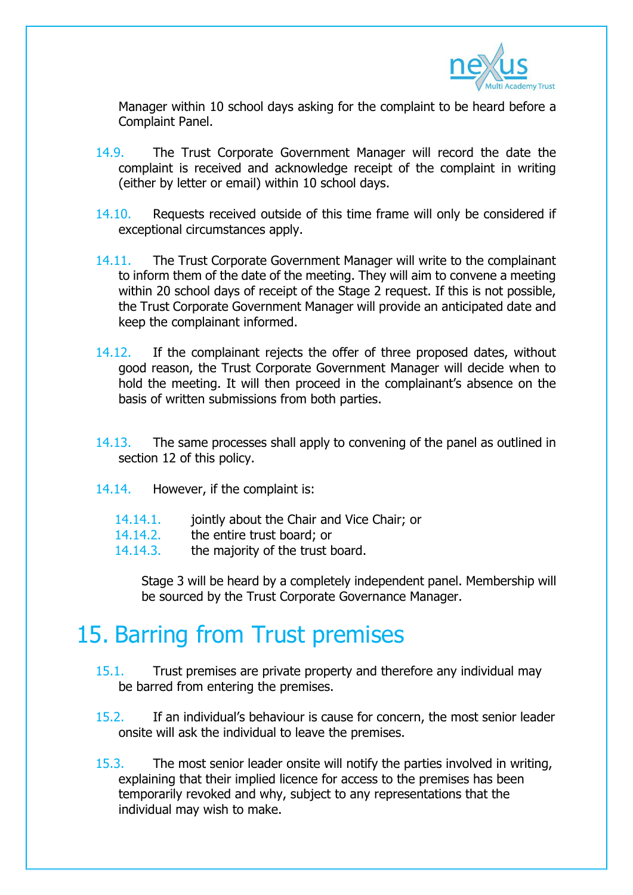

Manager within 10 school days asking for the complaint to be heard before a Complaint Panel.

- 14.9. The Trust Corporate Government Manager will record the date the complaint is received and acknowledge receipt of the complaint in writing (either by letter or email) within 10 school days.
- 14.10. Requests received outside of this time frame will only be considered if exceptional circumstances apply.
- 14.11. The Trust Corporate Government Manager will write to the complainant to inform them of the date of the meeting. They will aim to convene a meeting within 20 school days of receipt of the Stage 2 request. If this is not possible, the Trust Corporate Government Manager will provide an anticipated date and keep the complainant informed.
- 14.12. If the complainant rejects the offer of three proposed dates, without good reason, the Trust Corporate Government Manager will decide when to hold the meeting. It will then proceed in the complainant's absence on the basis of written submissions from both parties.
- 14.13. The same processes shall apply to convening of the panel as outlined in section 12 of this policy.
- 14.14. However, if the complaint is:
	- 14.14.1. jointly about the Chair and Vice Chair; or
	- 14.14.2. the entire trust board; or
	- 14.14.3. the majority of the trust board.

Stage 3 will be heard by a completely independent panel. Membership will be sourced by the Trust Corporate Governance Manager.

#### 15. Barring from Trust premises

- 15.1. Trust premises are private property and therefore any individual may be barred from entering the premises.
- 15.2. If an individual's behaviour is cause for concern, the most senior leader onsite will ask the individual to leave the premises.
- 15.3. The most senior leader onsite will notify the parties involved in writing, explaining that their implied licence for access to the premises has been temporarily revoked and why, subject to any representations that the individual may wish to make.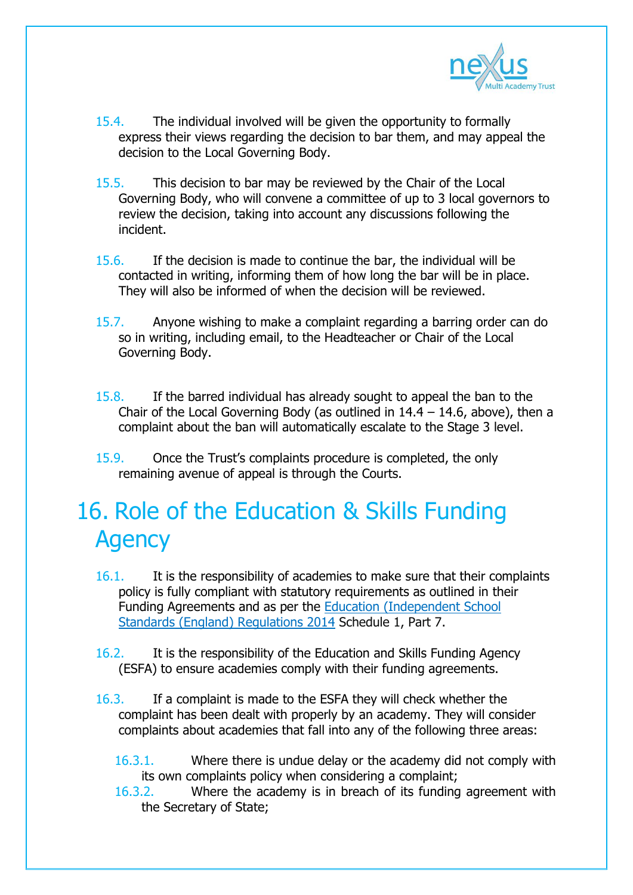

- 15.4. The individual involved will be given the opportunity to formally express their views regarding the decision to bar them, and may appeal the decision to the Local Governing Body.
- 15.5. This decision to bar may be reviewed by the Chair of the Local Governing Body, who will convene a committee of up to 3 local governors to review the decision, taking into account any discussions following the incident.
- 15.6. If the decision is made to continue the bar, the individual will be contacted in writing, informing them of how long the bar will be in place. They will also be informed of when the decision will be reviewed.
- 15.7. Anyone wishing to make a complaint regarding a barring order can do so in writing, including email, to the Headteacher or Chair of the Local Governing Body.
- 15.8. If the barred individual has already sought to appeal the ban to the Chair of the Local Governing Body (as outlined in  $14.4 - 14.6$ , above), then a complaint about the ban will automatically escalate to the Stage 3 level.
- 15.9. Once the Trust's complaints procedure is completed, the only remaining avenue of appeal is through the Courts.

## 16. Role of the Education & Skills Funding **Agency**

- 16.1. It is the responsibility of academies to make sure that their complaints policy is fully compliant with statutory requirements as outlined in their Funding Agreements and as per the Education [\(Independent](http://www.legislation.gov.uk/uksi/2014/3283/schedule/made) School Standards (England) [Regulations](http://www.legislation.gov.uk/uksi/2014/3283/schedule/made) 2014 Schedule 1, Part 7.
- 16.2. It is the responsibility of the Education and Skills Funding Agency (ESFA) to ensure academies comply with their funding agreements.
- 16.3. If a complaint is made to the ESFA they will check whether the complaint has been dealt with properly by an academy. They will consider complaints about academies that fall into any of the following three areas:
	- 16.3.1. Where there is undue delay or the academy did not comply with its own complaints policy when considering a complaint;
	- 16.3.2. Where the academy is in breach of its funding agreement with the Secretary of State;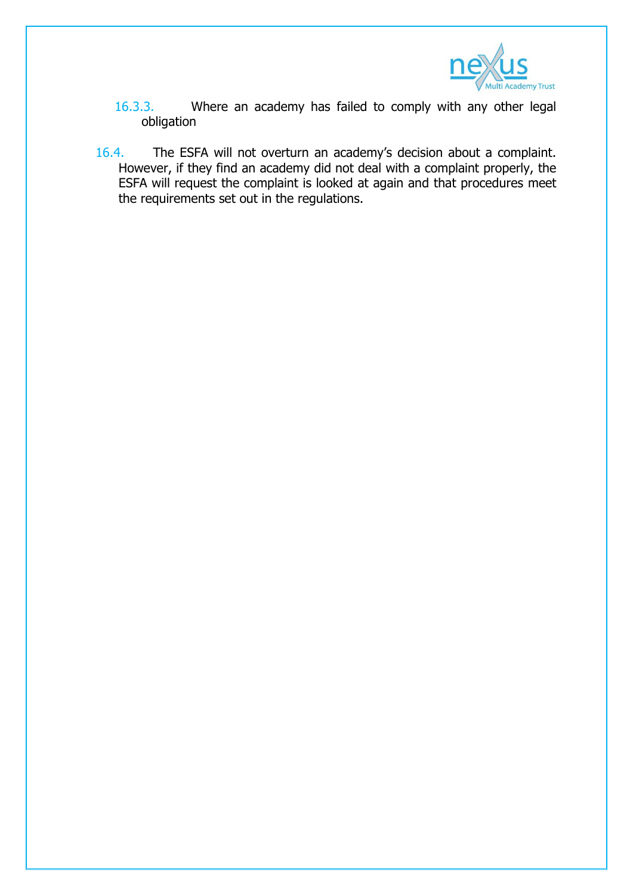

- 16.3.3. Where an academy has failed to comply with any other legal obligation
- 16.4. The ESFA will not overturn an academy's decision about a complaint. However, if they find an academy did not deal with a complaint properly, the ESFA will request the complaint is looked at again and that procedures meet the requirements set out in the regulations.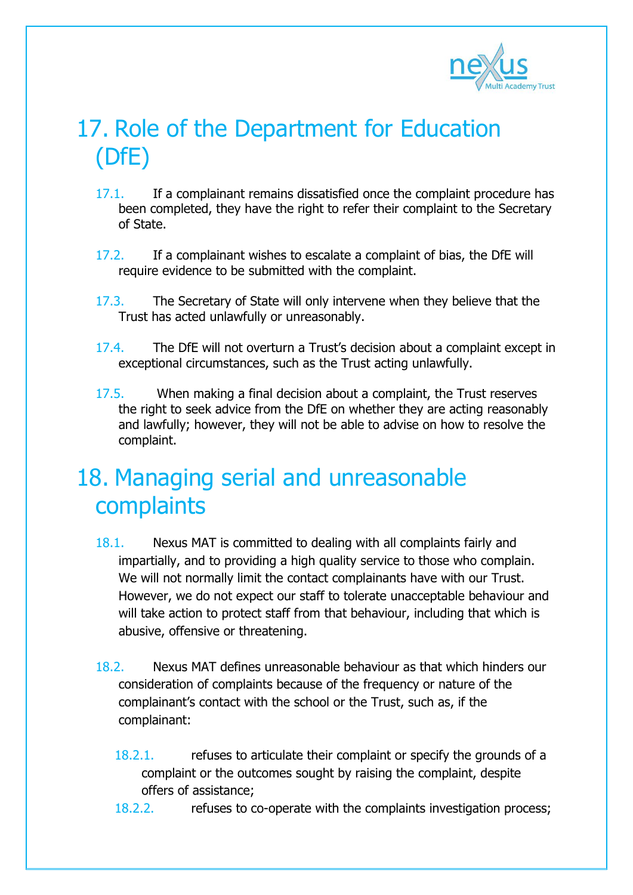

# 17. Role of the Department for Education (DfE)

- 17.1. If a complainant remains dissatisfied once the complaint procedure has been completed, they have the right to refer their complaint to the Secretary of State.
- 17.2. If a complainant wishes to escalate a complaint of bias, the DfE will require evidence to be submitted with the complaint.
- 17.3. The Secretary of State will only intervene when they believe that the Trust has acted unlawfully or unreasonably.
- 17.4. The DfE will not overturn a Trust's decision about a complaint except in exceptional circumstances, such as the Trust acting unlawfully.
- 17.5. When making a final decision about a complaint, the Trust reserves the right to seek advice from the DfE on whether they are acting reasonably and lawfully; however, they will not be able to advise on how to resolve the complaint.

#### 18. Managing serial and unreasonable complaints

- 18.1. Nexus MAT is committed to dealing with all complaints fairly and impartially, and to providing a high quality service to those who complain. We will not normally limit the contact complainants have with our Trust. However, we do not expect our staff to tolerate unacceptable behaviour and will take action to protect staff from that behaviour, including that which is abusive, offensive or threatening.
- 18.2. Nexus MAT defines unreasonable behaviour as that which hinders our consideration of complaints because of the frequency or nature of the complainant's contact with the school or the Trust, such as, if the complainant:
	- 18.2.1. refuses to articulate their complaint or specify the grounds of a complaint or the outcomes sought by raising the complaint, despite offers of assistance;
	- 18.2.2. refuses to co-operate with the complaints investigation process;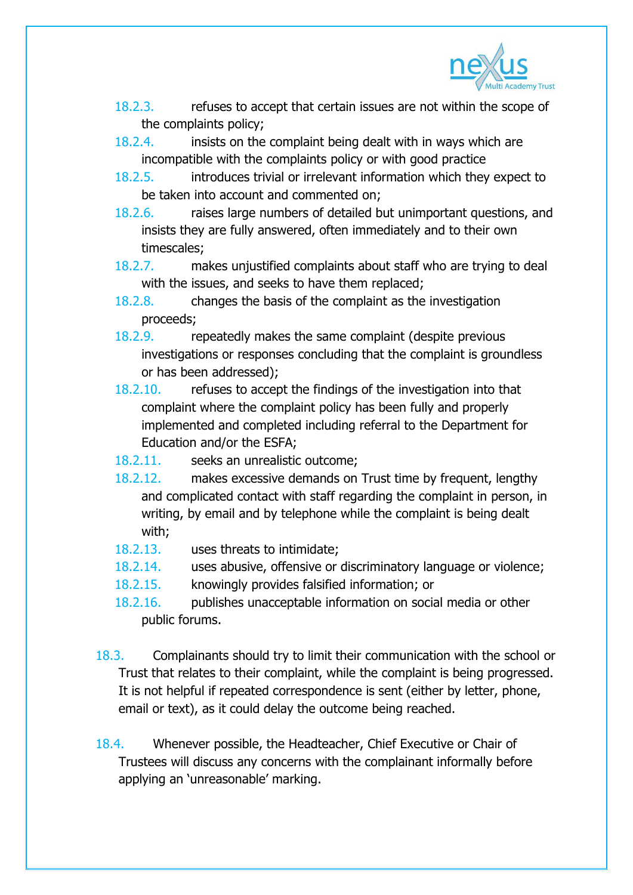

- 18.2.3. refuses to accept that certain issues are not within the scope of the complaints policy;
- 18.2.4. insists on the complaint being dealt with in ways which are incompatible with the complaints policy or with good practice
- 18.2.5. introduces trivial or irrelevant information which they expect to be taken into account and commented on;
- 18.2.6. raises large numbers of detailed but unimportant questions, and insists they are fully answered, often immediately and to their own timescales;
- 18.2.7. makes unjustified complaints about staff who are trying to deal with the issues, and seeks to have them replaced;
- 18.2.8. changes the basis of the complaint as the investigation proceeds;
- 18.2.9. repeatedly makes the same complaint (despite previous investigations or responses concluding that the complaint is groundless or has been addressed);
- 18.2.10. refuses to accept the findings of the investigation into that complaint where the complaint policy has been fully and properly implemented and completed including referral to the Department for Education and/or the ESFA;
- 18.2.11. seeks an unrealistic outcome;
- 18.2.12. makes excessive demands on Trust time by frequent, lengthy and complicated contact with staff regarding the complaint in person, in writing, by email and by telephone while the complaint is being dealt with;
- 18.2.13. uses threats to intimidate;
- 18.2.14. uses abusive, offensive or discriminatory language or violence;
- 18.2.15. knowingly provides falsified information; or
- 18.2.16. publishes unacceptable information on social media or other public forums.
- 18.3. Complainants should try to limit their communication with the school or Trust that relates to their complaint, while the complaint is being progressed. It is not helpful if repeated correspondence is sent (either by letter, phone, email or text), as it could delay the outcome being reached.
- 18.4. Whenever possible, the Headteacher, Chief Executive or Chair of Trustees will discuss any concerns with the complainant informally before applying an 'unreasonable' marking.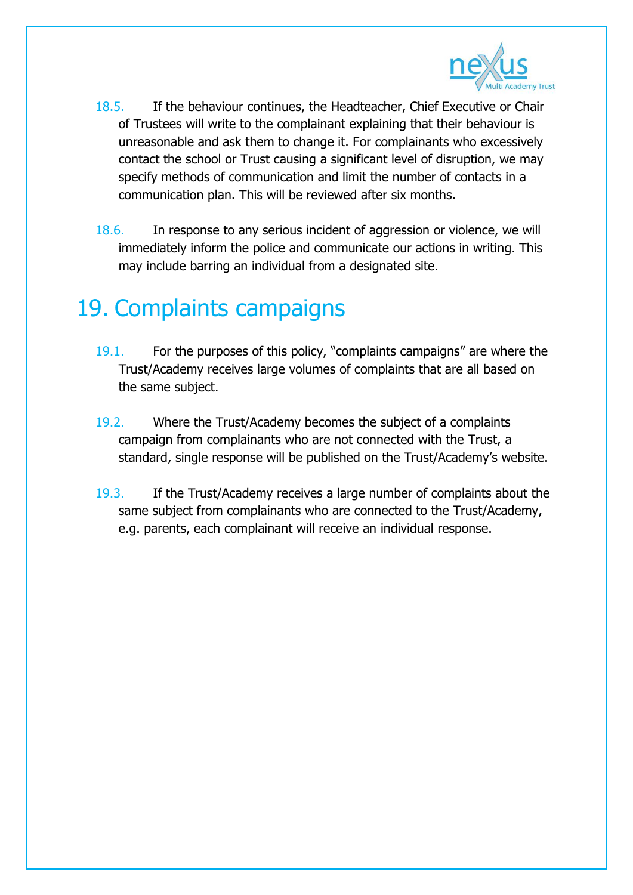

- 18.5. If the behaviour continues, the Headteacher, Chief Executive or Chair of Trustees will write to the complainant explaining that their behaviour is unreasonable and ask them to change it. For complainants who excessively contact the school or Trust causing a significant level of disruption, we may specify methods of communication and limit the number of contacts in a communication plan. This will be reviewed after six months.
- 18.6. In response to any serious incident of aggression or violence, we will immediately inform the police and communicate our actions in writing. This may include barring an individual from a designated site.

## 19. Complaints campaigns

- 19.1. For the purposes of this policy, "complaints campaigns" are where the Trust/Academy receives large volumes of complaints that are all based on the same subject.
- 19.2. Where the Trust/Academy becomes the subject of a complaints campaign from complainants who are not connected with the Trust, a standard, single response will be published on the Trust/Academy's website.
- 19.3. If the Trust/Academy receives a large number of complaints about the same subject from complainants who are connected to the Trust/Academy, e.g. parents, each complainant will receive an individual response.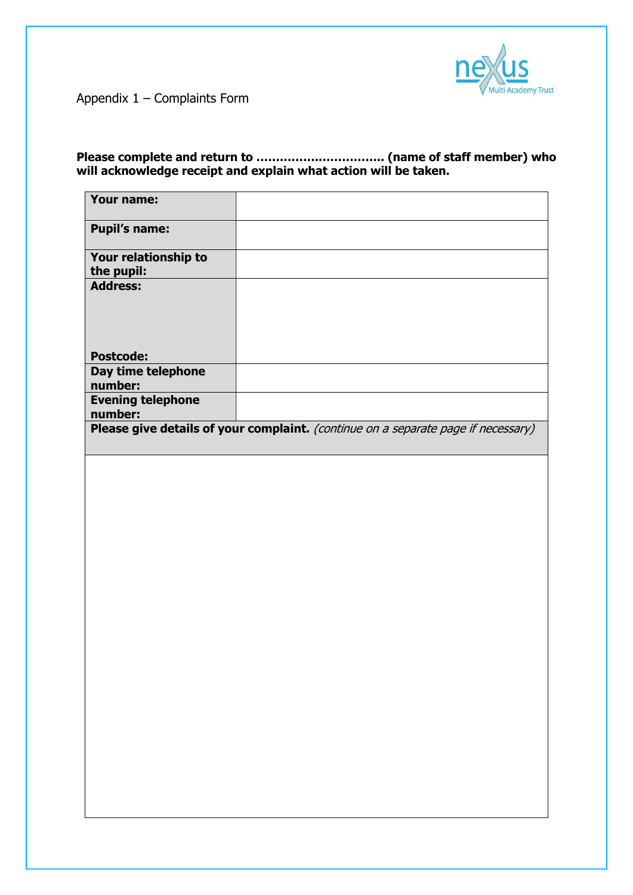

Appendix 1 – Complaints Form

**Please complete and return to …………….…………….. (name of staff member) who will acknowledge receipt and explain what action will be taken.** 

| Your name:                          |                                                                                   |
|-------------------------------------|-----------------------------------------------------------------------------------|
| <b>Pupil's name:</b>                |                                                                                   |
| Your relationship to<br>the pupil:  |                                                                                   |
| <b>Address:</b>                     |                                                                                   |
|                                     |                                                                                   |
|                                     |                                                                                   |
| <b>Postcode:</b>                    |                                                                                   |
| Day time telephone<br>number:       |                                                                                   |
| <b>Evening telephone</b><br>number: |                                                                                   |
|                                     | Please give details of your complaint. (continue on a separate page if necessary) |
|                                     |                                                                                   |
|                                     |                                                                                   |
|                                     |                                                                                   |
|                                     |                                                                                   |
|                                     |                                                                                   |
|                                     |                                                                                   |
|                                     |                                                                                   |
|                                     |                                                                                   |
|                                     |                                                                                   |
|                                     |                                                                                   |
|                                     |                                                                                   |
|                                     |                                                                                   |
|                                     |                                                                                   |
|                                     |                                                                                   |
|                                     |                                                                                   |
|                                     |                                                                                   |
|                                     |                                                                                   |
|                                     |                                                                                   |
|                                     |                                                                                   |
|                                     |                                                                                   |
|                                     |                                                                                   |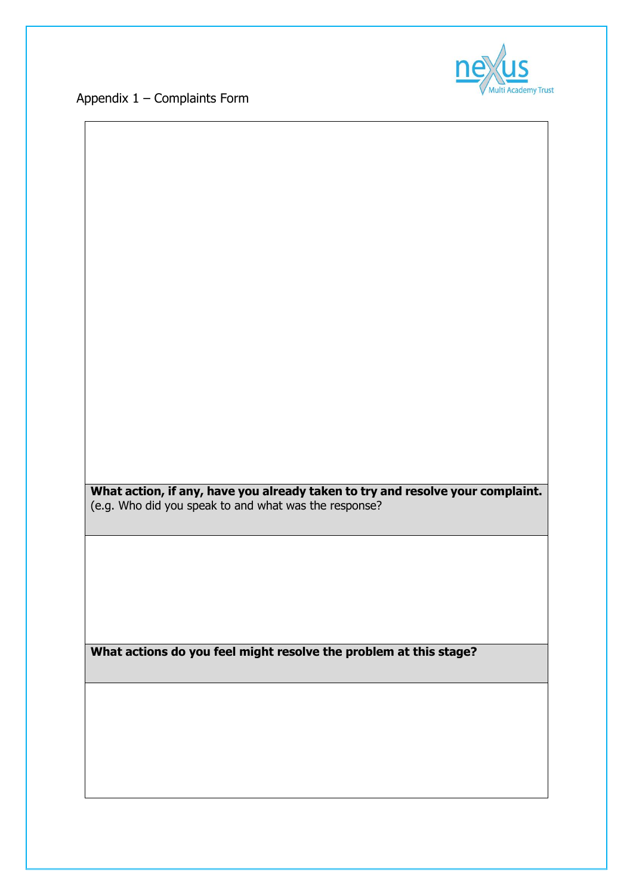Appendix 1 – Complaints Form



**What action, if any, have you already taken to try and resolve your complaint.**  (e.g. Who did you speak to and what was the response? **What actions do you feel might resolve the problem at this stage?**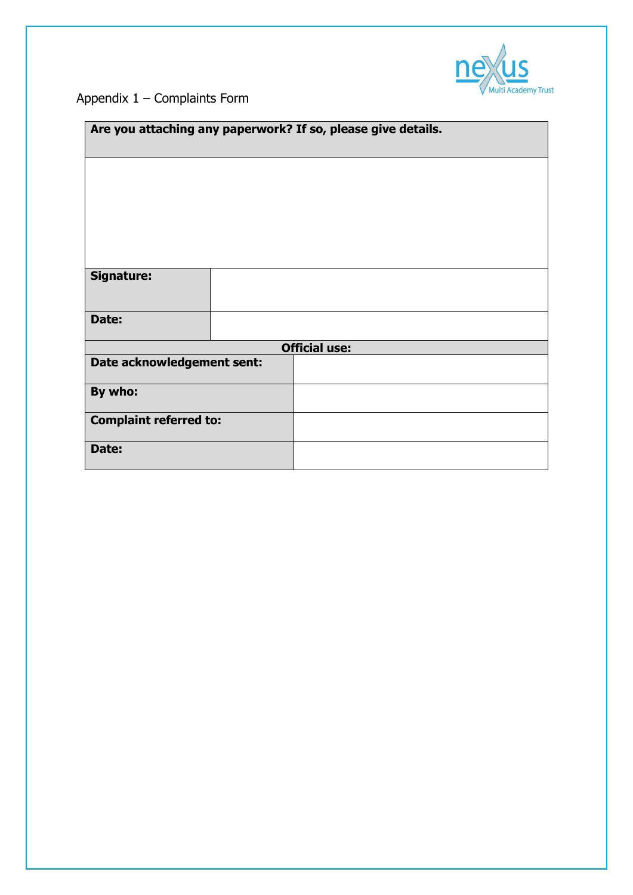

#### Appendix 1 – Complaints Form

| Are you attaching any paperwork? If so, please give details. |                      |  |  |  |  |
|--------------------------------------------------------------|----------------------|--|--|--|--|
|                                                              |                      |  |  |  |  |
|                                                              |                      |  |  |  |  |
|                                                              |                      |  |  |  |  |
| Signature:                                                   |                      |  |  |  |  |
|                                                              |                      |  |  |  |  |
| Date:                                                        |                      |  |  |  |  |
|                                                              | <b>Official use:</b> |  |  |  |  |
| Date acknowledgement sent:                                   |                      |  |  |  |  |
| By who:                                                      |                      |  |  |  |  |
| <b>Complaint referred to:</b>                                |                      |  |  |  |  |
| Date:                                                        |                      |  |  |  |  |